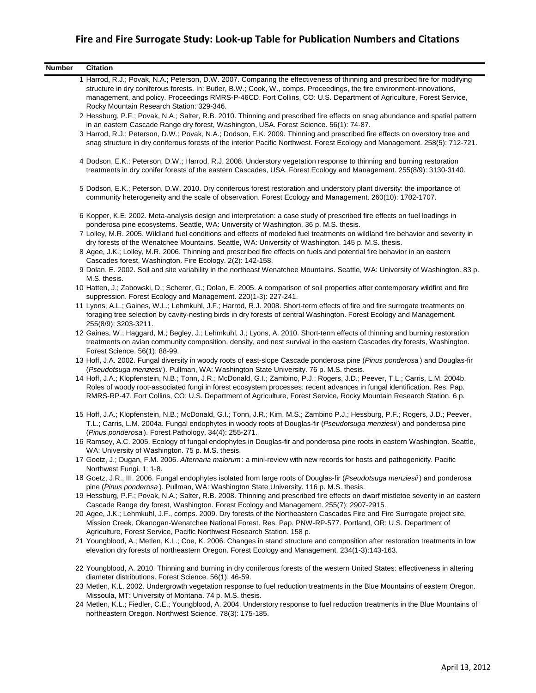| <b>Number</b> | <b>Citation</b>                                                                                                                                                                                                                                                                                                                                                                                                          |
|---------------|--------------------------------------------------------------------------------------------------------------------------------------------------------------------------------------------------------------------------------------------------------------------------------------------------------------------------------------------------------------------------------------------------------------------------|
|               | 1 Harrod, R.J.; Povak, N.A.; Peterson, D.W. 2007. Comparing the effectiveness of thinning and prescribed fire for modifying<br>structure in dry coniferous forests. In: Butler, B.W.; Cook, W., comps. Proceedings, the fire environment-innovations,<br>management, and policy. Proceedings RMRS-P-46CD. Fort Collins, CO: U.S. Department of Agriculture, Forest Service,<br>Rocky Mountain Research Station: 329-346. |
|               | 2 Hessburg, P.F.; Povak, N.A.; Salter, R.B. 2010. Thinning and prescribed fire effects on snag abundance and spatial pattern<br>in an eastern Cascade Range dry forest, Washington, USA. Forest Science. 56(1): 74-87.                                                                                                                                                                                                   |
|               | 3 Harrod, R.J.; Peterson, D.W.; Povak, N.A.; Dodson, E.K. 2009. Thinning and prescribed fire effects on overstory tree and<br>snag structure in dry coniferous forests of the interior Pacific Northwest. Forest Ecology and Management. 258(5): 712-721.                                                                                                                                                                |
|               | 4 Dodson, E.K.; Peterson, D.W.; Harrod, R.J. 2008. Understory vegetation response to thinning and burning restoration<br>treatments in dry conifer forests of the eastern Cascades, USA. Forest Ecology and Management. 255(8/9): 3130-3140.                                                                                                                                                                             |
|               | 5 Dodson, E.K.; Peterson, D.W. 2010. Dry coniferous forest restoration and understory plant diversity: the importance of<br>community heterogeneity and the scale of observation. Forest Ecology and Management. 260(10): 1702-1707.                                                                                                                                                                                     |
|               | 6 Kopper, K.E. 2002. Meta-analysis design and interpretation: a case study of prescribed fire effects on fuel loadings in<br>ponderosa pine ecosystems. Seattle, WA: University of Washington. 36 p. M.S. thesis.                                                                                                                                                                                                        |
|               | 7 Lolley, M.R. 2005. Wildland fuel conditions and effects of modeled fuel treatments on wildland fire behavior and severity in<br>dry forests of the Wenatchee Mountains. Seattle, WA: University of Washington. 145 p. M.S. thesis.                                                                                                                                                                                     |
|               | 8 Agee, J.K.; Lolley, M.R. 2006. Thinning and prescribed fire effects on fuels and potential fire behavior in an eastern<br>Cascades forest, Washington. Fire Ecology. 2(2): 142-158.                                                                                                                                                                                                                                    |
|               | 9 Dolan, E. 2002. Soil and site variability in the northeast Wenatchee Mountains. Seattle, WA: University of Washington. 83 p.<br>M.S. thesis.                                                                                                                                                                                                                                                                           |
|               | 10 Hatten, J.; Zabowski, D.; Scherer, G.; Dolan, E. 2005. A comparison of soil properties after contemporary wildfire and fire<br>suppression. Forest Ecology and Management. 220(1-3): 227-241.                                                                                                                                                                                                                         |
|               | 11 Lyons, A.L.; Gaines, W.L.; Lehmkuhl, J.F.; Harrod, R.J. 2008. Short-term effects of fire and fire surrogate treatments on<br>foraging tree selection by cavity-nesting birds in dry forests of central Washington. Forest Ecology and Management.<br>255(8/9): 3203-3211.                                                                                                                                             |
|               | 12 Gaines, W.; Haggard, M.; Begley, J.; Lehmkuhl, J.; Lyons, A. 2010. Short-term effects of thinning and burning restoration<br>treatments on avian community composition, density, and nest survival in the eastern Cascades dry forests, Washington.<br>Forest Science. 56(1): 88-99.                                                                                                                                  |
|               | 13 Hoff, J.A. 2002. Fungal diversity in woody roots of east-slope Cascade ponderosa pine (Pinus ponderosa) and Douglas-fir<br>(Pseudotsuga menziesii). Pullman, WA: Washington State University. 76 p. M.S. thesis.                                                                                                                                                                                                      |
|               | 14 Hoff, J.A.; Klopfenstein, N.B.; Tonn, J.R.; McDonald, G.I.; Zambino, P.J.; Rogers, J.D.; Peever, T.L.; Carris, L.M. 2004b.<br>Roles of woody root-associated fungi in forest ecosystem processes: recent advances in fungal identification. Res. Pap.<br>RMRS-RP-47. Fort Collins, CO: U.S. Department of Agriculture, Forest Service, Rocky Mountain Research Station. 6 p.                                          |
|               | 15 Hoff, J.A.; Klopfenstein, N.B.; McDonald, G.I.; Tonn, J.R.; Kim, M.S.; Zambino P.J.; Hessburg, P.F.; Rogers, J.D.; Peever,<br>T.L.; Carris, L.M. 2004a. Fungal endophytes in woody roots of Douglas-fir (Pseudotsuga menziesii) and ponderosa pine<br>(Pinus ponderosa). Forest Pathology. 34(4): 255-271.                                                                                                            |
|               | 16 Ramsey, A.C. 2005. Ecology of fungal endophytes in Douglas-fir and ponderosa pine roots in eastern Washington. Seattle,<br>WA: University of Washington. 75 p. M.S. thesis.                                                                                                                                                                                                                                           |
|               | 17 Goetz, J.; Dugan, F.M. 2006. Alternaria malorum: a mini-review with new records for hosts and pathogenicity. Pacific<br>Northwest Fungi. 1: 1-8.                                                                                                                                                                                                                                                                      |
|               | 18 Goetz, J.R., III. 2006. Fungal endophytes isolated from large roots of Douglas-fir (Pseudotsuga menziesii) and ponderosa<br>pine (Pinus ponderosa). Pullman, WA: Washington State University. 116 p. M.S. thesis.                                                                                                                                                                                                     |
|               | 19 Hessburg, P.F.; Povak, N.A.; Salter, R.B. 2008. Thinning and prescribed fire effects on dwarf mistletoe severity in an eastern<br>Cascade Range dry forest, Washington. Forest Ecology and Management. 255(7): 2907-2915.                                                                                                                                                                                             |
|               | 20 Agee, J.K.; Lehmkuhl, J.F., comps. 2009. Dry forests of the Northeastern Cascades Fire and Fire Surrogate project site,<br>Mission Creek, Okanogan-Wenatchee National Forest. Res. Pap. PNW-RP-577. Portland, OR: U.S. Department of<br>Agriculture, Forest Service, Pacific Northwest Research Station. 158 p.                                                                                                       |
|               | 21 Youngblood, A.; Metlen, K.L.; Coe, K. 2006. Changes in stand structure and composition after restoration treatments in low<br>elevation dry forests of northeastern Oregon. Forest Ecology and Management. 234(1-3):143-163.                                                                                                                                                                                          |
|               | 22 Youngblood, A. 2010. Thinning and burning in dry coniferous forests of the western United States: effectiveness in altering<br>diameter distributions. Forest Science. 56(1): 46-59.                                                                                                                                                                                                                                  |
|               | 23 Metlen, K.L. 2002. Undergrowth vegetation response to fuel reduction treatments in the Blue Mountains of eastern Oregon.<br>Missoula, MT: University of Montana. 74 p. M.S. thesis.                                                                                                                                                                                                                                   |
|               | 24 Metlen, K.L.; Fiedler, C.E.; Youngblood, A. 2004. Understory response to fuel reduction treatments in the Blue Mountains of<br>northeastern Oregon. Northwest Science. 78(3): 175-185.                                                                                                                                                                                                                                |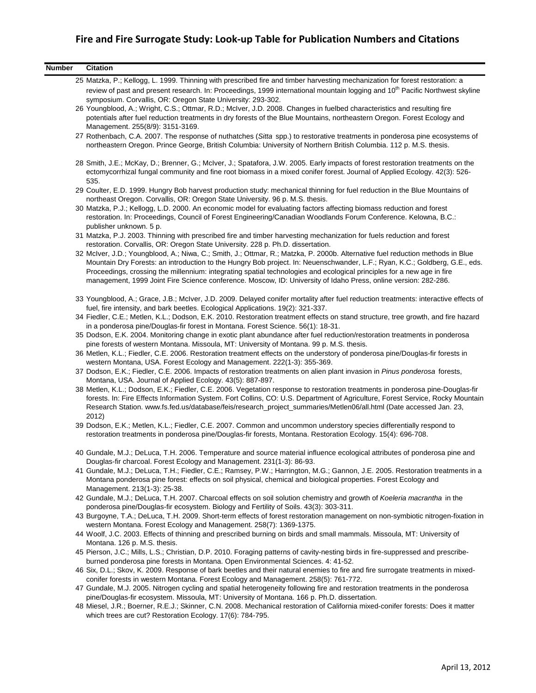| <b>Number</b> | <b>Citation</b>                                                                                                                                                                                                                                                                                                                                                                                                                                                                                            |
|---------------|------------------------------------------------------------------------------------------------------------------------------------------------------------------------------------------------------------------------------------------------------------------------------------------------------------------------------------------------------------------------------------------------------------------------------------------------------------------------------------------------------------|
|               | 25 Matzka, P.; Kellogg, L. 1999. Thinning with prescribed fire and timber harvesting mechanization for forest restoration: a                                                                                                                                                                                                                                                                                                                                                                               |
|               | review of past and present research. In: Proceedings, 1999 international mountain logging and 10 <sup>th</sup> Pacific Northwest skyline<br>symposium. Corvallis, OR: Oregon State University: 293-302.                                                                                                                                                                                                                                                                                                    |
|               | 26 Youngblood, A.; Wright, C.S.; Ottmar, R.D.; McIver, J.D. 2008. Changes in fuelbed characteristics and resulting fire<br>potentials after fuel reduction treatments in dry forests of the Blue Mountains, northeastern Oregon. Forest Ecology and<br>Management. 255(8/9): 3151-3169.                                                                                                                                                                                                                    |
|               | 27 Rothenbach, C.A. 2007. The response of nuthatches (Sitta spp.) to restorative treatments in ponderosa pine ecosystems of<br>northeastern Oregon. Prince George, British Columbia: University of Northern British Columbia. 112 p. M.S. thesis.                                                                                                                                                                                                                                                          |
|               | 28 Smith, J.E.; McKay, D.; Brenner, G.; McIver, J.; Spatafora, J.W. 2005. Early impacts of forest restoration treatments on the<br>ectomycorrhizal fungal community and fine root biomass in a mixed conifer forest. Journal of Applied Ecology. 42(3): 526-<br>535.                                                                                                                                                                                                                                       |
|               | 29 Coulter, E.D. 1999. Hungry Bob harvest production study: mechanical thinning for fuel reduction in the Blue Mountains of<br>northeast Oregon. Corvallis, OR: Oregon State University. 96 p. M.S. thesis.                                                                                                                                                                                                                                                                                                |
|               | 30 Matzka, P.J.; Kellogg, L.D. 2000. An economic model for evaluating factors affecting biomass reduction and forest<br>restoration. In: Proceedings, Council of Forest Engineering/Canadian Woodlands Forum Conference. Kelowna, B.C.:<br>publisher unknown. 5 p.                                                                                                                                                                                                                                         |
|               | 31 Matzka, P.J. 2003. Thinning with prescribed fire and timber harvesting mechanization for fuels reduction and forest<br>restoration. Corvallis, OR: Oregon State University. 228 p. Ph.D. dissertation.                                                                                                                                                                                                                                                                                                  |
|               | 32 McIver, J.D.; Youngblood, A.; Niwa, C.; Smith, J.; Ottmar, R.; Matzka, P. 2000b. Alternative fuel reduction methods in Blue<br>Mountain Dry Forests: an introduction to the Hungry Bob project. In: Neuenschwander, L.F.; Ryan, K.C.; Goldberg, G.E., eds.<br>Proceedings, crossing the millennium: integrating spatial technologies and ecological principles for a new age in fire<br>management, 1999 Joint Fire Science conference. Moscow, ID: University of Idaho Press, online version: 282-286. |
|               | 33 Youngblood, A.; Grace, J.B.; McIver, J.D. 2009. Delayed conifer mortality after fuel reduction treatments: interactive effects of<br>fuel, fire intensity, and bark beetles. Ecological Applications. 19(2): 321-337.                                                                                                                                                                                                                                                                                   |
|               | 34 Fiedler, C.E.; Metlen, K.L.; Dodson, E.K. 2010. Restoration treatment effects on stand structure, tree growth, and fire hazard<br>in a ponderosa pine/Douglas-fir forest in Montana. Forest Science. 56(1): 18-31.                                                                                                                                                                                                                                                                                      |
|               | 35 Dodson, E.K. 2004. Monitoring change in exotic plant abundance after fuel reduction/restoration treatments in ponderosa<br>pine forests of western Montana. Missoula, MT: University of Montana. 99 p. M.S. thesis.                                                                                                                                                                                                                                                                                     |
|               | 36 Metlen, K.L.; Fiedler, C.E. 2006. Restoration treatment effects on the understory of ponderosa pine/Douglas-fir forests in<br>western Montana, USA. Forest Ecology and Management. 222(1-3): 355-369.                                                                                                                                                                                                                                                                                                   |
|               | 37 Dodson, E.K.; Fiedler, C.E. 2006. Impacts of restoration treatments on alien plant invasion in Pinus ponderosa forests,<br>Montana, USA. Journal of Applied Ecology. 43(5): 887-897.                                                                                                                                                                                                                                                                                                                    |
|               | 38 Metlen, K.L.; Dodson, E.K.; Fiedler, C.E. 2006. Vegetation response to restoration treatments in ponderosa pine-Douglas-fir<br>forests. In: Fire Effects Information System. Fort Collins, CO: U.S. Department of Agriculture, Forest Service, Rocky Mountain<br>Research Station. www.fs.fed.us/database/feis/research_project_summaries/Metlen06/all.html (Date accessed Jan. 23,<br>2012)                                                                                                            |
|               | 39 Dodson, E.K.; Metlen, K.L.; Fiedler, C.E. 2007. Common and uncommon understory species differentially respond to<br>restoration treatments in ponderosa pine/Douglas-fir forests, Montana. Restoration Ecology. 15(4): 696-708.                                                                                                                                                                                                                                                                         |
|               | 40 Gundale, M.J.; DeLuca, T.H. 2006. Temperature and source material influence ecological attributes of ponderosa pine and<br>Douglas-fir charcoal. Forest Ecology and Management. 231(1-3): 86-93.                                                                                                                                                                                                                                                                                                        |
|               | 41 Gundale, M.J.; DeLuca, T.H.; Fiedler, C.E.; Ramsey, P.W.; Harrington, M.G.; Gannon, J.E. 2005. Restoration treatments in a<br>Montana ponderosa pine forest: effects on soil physical, chemical and biological properties. Forest Ecology and<br>Management. 213(1-3): 25-38.                                                                                                                                                                                                                           |
|               | 42 Gundale, M.J.; DeLuca, T.H. 2007. Charcoal effects on soil solution chemistry and growth of Koeleria macrantha in the<br>ponderosa pine/Douglas-fir ecosystem. Biology and Fertility of Soils. 43(3): 303-311.                                                                                                                                                                                                                                                                                          |
|               | 43 Burgoyne, T.A.; DeLuca, T.H. 2009. Short-term effects of forest restoration management on non-symbiotic nitrogen-fixation in<br>western Montana. Forest Ecology and Management. 258(7): 1369-1375.                                                                                                                                                                                                                                                                                                      |
|               | 44 Woolf, J.C. 2003. Effects of thinning and prescribed burning on birds and small mammals. Missoula, MT: University of<br>Montana. 126 p. M.S. thesis.                                                                                                                                                                                                                                                                                                                                                    |
|               | 45 Pierson, J.C.; Mills, L.S.; Christian, D.P. 2010. Foraging patterns of cavity-nesting birds in fire-suppressed and prescribe-<br>burned ponderosa pine forests in Montana. Open Environmental Sciences. 4: 41-52.                                                                                                                                                                                                                                                                                       |
|               | 46 Six, D.L.; Skov, K. 2009. Response of bark beetles and their natural enemies to fire and fire surrogate treatments in mixed-<br>conifer forests in western Montana. Forest Ecology and Management. 258(5): 761-772.                                                                                                                                                                                                                                                                                     |
|               | 47 Gundale, M.J. 2005. Nitrogen cycling and spatial heterogeneity following fire and restoration treatments in the ponderosa<br>pine/Douglas-fir ecosystem. Missoula, MT: University of Montana. 166 p. Ph.D. dissertation.                                                                                                                                                                                                                                                                                |

48 Miesel, J.R.; Boerner, R.E.J.; Skinner, C.N. 2008. Mechanical restoration of California mixed-conifer forests: Does it matter which trees are cut? Restoration Ecology. 17(6): 784-795.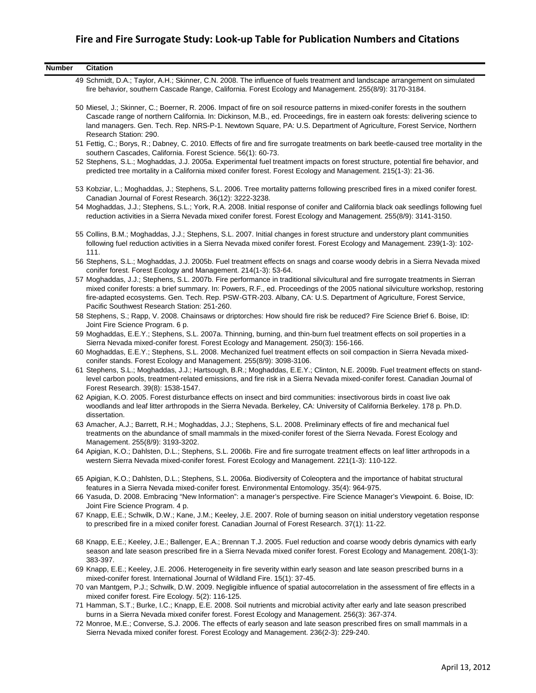| <b>Number</b> | <b>Citation</b>                                                                                                                                                                                                                                                                                                                                                                                                                          |
|---------------|------------------------------------------------------------------------------------------------------------------------------------------------------------------------------------------------------------------------------------------------------------------------------------------------------------------------------------------------------------------------------------------------------------------------------------------|
|               | 49 Schmidt, D.A.; Taylor, A.H.; Skinner, C.N. 2008. The influence of fuels treatment and landscape arrangement on simulated<br>fire behavior, southern Cascade Range, California. Forest Ecology and Management. 255(8/9): 3170-3184.                                                                                                                                                                                                    |
|               | 50 Miesel, J.; Skinner, C.; Boerner, R. 2006. Impact of fire on soil resource patterns in mixed-conifer forests in the southern<br>Cascade range of northern California. In: Dickinson, M.B., ed. Proceedings, fire in eastern oak forests: delivering science to<br>land managers. Gen. Tech. Rep. NRS-P-1. Newtown Square, PA: U.S. Department of Agriculture, Forest Service, Northern<br>Research Station: 290.                      |
|               | 51 Fettig, C.; Borys, R.; Dabney, C. 2010. Effects of fire and fire surrogate treatments on bark beetle-caused tree mortality in the<br>southern Cascades, California. Forest Science. 56(1): 60-73.                                                                                                                                                                                                                                     |
|               | 52 Stephens, S.L.; Moghaddas, J.J. 2005a. Experimental fuel treatment impacts on forest structure, potential fire behavior, and<br>predicted tree mortality in a California mixed conifer forest. Forest Ecology and Management. 215(1-3): 21-36.                                                                                                                                                                                        |
|               | 53 Kobziar, L.; Moghaddas, J.; Stephens, S.L. 2006. Tree mortality patterns following prescribed fires in a mixed conifer forest.<br>Canadian Journal of Forest Research. 36(12): 3222-3238.                                                                                                                                                                                                                                             |
|               | 54 Moghaddas, J.J.; Stephens, S.L.; York, R.A. 2008. Initial response of conifer and California black oak seedlings following fuel<br>reduction activities in a Sierra Nevada mixed conifer forest. Forest Ecology and Management. 255(8/9): 3141-3150.                                                                                                                                                                                  |
|               | 55 Collins, B.M.; Moghaddas, J.J.; Stephens, S.L. 2007. Initial changes in forest structure and understory plant communities<br>following fuel reduction activities in a Sierra Nevada mixed conifer forest. Forest Ecology and Management. 239(1-3): 102-<br>111.                                                                                                                                                                       |
|               | 56 Stephens, S.L.; Moghaddas, J.J. 2005b. Fuel treatment effects on snags and coarse woody debris in a Sierra Nevada mixed<br>conifer forest. Forest Ecology and Management. 214(1-3): 53-64.                                                                                                                                                                                                                                            |
|               | 57 Moghaddas, J.J.; Stephens, S.L. 2007b. Fire performance in traditional silvicultural and fire surrogate treatments in Sierran<br>mixed conifer forests: a brief summary. In: Powers, R.F., ed. Proceedings of the 2005 national silviculture workshop, restoring<br>fire-adapted ecosystems. Gen. Tech. Rep. PSW-GTR-203. Albany, CA: U.S. Department of Agriculture, Forest Service,<br>Pacific Southwest Research Station: 251-260. |
|               | 58 Stephens, S.; Rapp, V. 2008. Chainsaws or driptorches: How should fire risk be reduced? Fire Science Brief 6. Boise, ID:<br>Joint Fire Science Program. 6 p.                                                                                                                                                                                                                                                                          |
|               | 59 Moghaddas, E.E.Y.; Stephens, S.L. 2007a. Thinning, burning, and thin-burn fuel treatment effects on soil properties in a<br>Sierra Nevada mixed-conifer forest. Forest Ecology and Management. 250(3): 156-166.                                                                                                                                                                                                                       |
|               | 60 Moghaddas, E.E.Y.; Stephens, S.L. 2008. Mechanized fuel treatment effects on soil compaction in Sierra Nevada mixed-<br>conifer stands. Forest Ecology and Management. 255(8/9): 3098-3106.                                                                                                                                                                                                                                           |
|               | 61 Stephens, S.L.; Moghaddas, J.J.; Hartsough, B.R.; Moghaddas, E.E.Y.; Clinton, N.E. 2009b. Fuel treatment effects on stand-<br>level carbon pools, treatment-related emissions, and fire risk in a Sierra Nevada mixed-conifer forest. Canadian Journal of<br>Forest Research. 39(8): 1538-1547.                                                                                                                                       |
|               | 62 Apigian, K.O. 2005. Forest disturbance effects on insect and bird communities: insectivorous birds in coast live oak<br>woodlands and leaf litter arthropods in the Sierra Nevada. Berkeley, CA: University of California Berkeley. 178 p. Ph.D.<br>dissertation.                                                                                                                                                                     |
|               | 63 Amacher, A.J.; Barrett, R.H.; Moghaddas, J.J.; Stephens, S.L. 2008. Preliminary effects of fire and mechanical fuel<br>treatments on the abundance of small mammals in the mixed-conifer forest of the Sierra Nevada. Forest Ecology and<br>Management. 255(8/9): 3193-3202.                                                                                                                                                          |
|               | 64 Apigian, K.O.; Dahlsten, D.L.; Stephens, S.L. 2006b. Fire and fire surrogate treatment effects on leaf litter arthropods in a<br>western Sierra Nevada mixed-conifer forest. Forest Ecology and Management. 221(1-3): 110-122.                                                                                                                                                                                                        |
|               | 65 Apigian, K.O.; Dahlsten, D.L.; Stephens, S.L. 2006a. Biodiversity of Coleoptera and the importance of habitat structural<br>features in a Sierra Nevada mixed-conifer forest. Environmental Entomology. 35(4): 964-975.                                                                                                                                                                                                               |
|               | 66 Yasuda, D. 2008. Embracing "New Information": a manager's perspective. Fire Science Manager's Viewpoint. 6. Boise, ID:<br>Joint Fire Science Program. 4 p.                                                                                                                                                                                                                                                                            |
|               | 67 Knapp, E.E.; Schwilk, D.W.; Kane, J.M.; Keeley, J.E. 2007. Role of burning season on initial understory vegetation response<br>to prescribed fire in a mixed conifer forest. Canadian Journal of Forest Research. 37(1): 11-22.                                                                                                                                                                                                       |
|               | 68 Knapp, E.E.; Keeley, J.E.; Ballenger, E.A.; Brennan T.J. 2005. Fuel reduction and coarse woody debris dynamics with early<br>season and late season prescribed fire in a Sierra Nevada mixed conifer forest. Forest Ecology and Management. 208(1-3):<br>383-397.                                                                                                                                                                     |
|               | 69 Knapp, E.E.; Keeley, J.E. 2006. Heterogeneity in fire severity within early season and late season prescribed burns in a<br>mixed-conifer forest. International Journal of Wildland Fire. 15(1): 37-45.                                                                                                                                                                                                                               |
|               | 70 van Mantgem, P.J.; Schwilk, D.W. 2009. Negligible influence of spatial autocorrelation in the assessment of fire effects in a<br>mixed conifer forest. Fire Ecology. 5(2): 116-125.                                                                                                                                                                                                                                                   |
|               | 71 Hamman, S.T.; Burke, I.C.; Knapp, E.E. 2008. Soil nutrients and microbial activity after early and late season prescribed<br>burns in a Sierra Nevada mixed conifer forest. Forest Ecology and Management. 256(3): 367-374.                                                                                                                                                                                                           |

72 Monroe, M.E.; Converse, S.J. 2006. The effects of early season and late season prescribed fires on small mammals in a Sierra Nevada mixed conifer forest. Forest Ecology and Management. 236(2-3): 229-240.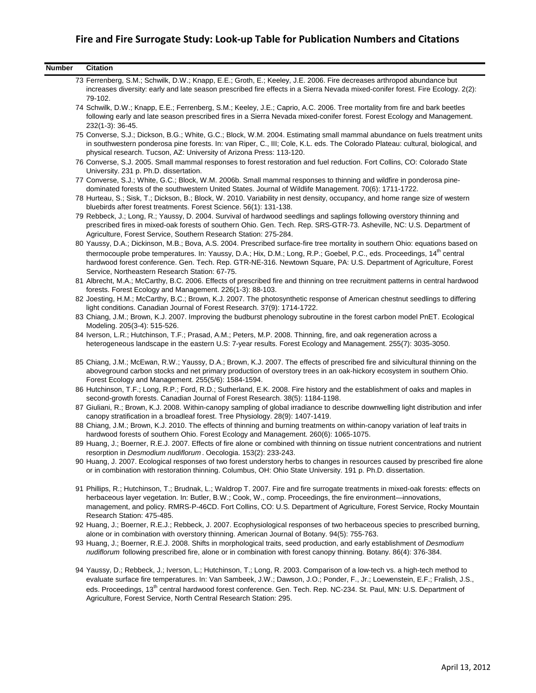| <b>Citation</b>                                                                                                                                                                                                                                                                                                                                                                                                                                                   |
|-------------------------------------------------------------------------------------------------------------------------------------------------------------------------------------------------------------------------------------------------------------------------------------------------------------------------------------------------------------------------------------------------------------------------------------------------------------------|
| 73 Ferrenberg, S.M.; Schwilk, D.W.; Knapp, E.E.; Groth, E.; Keeley, J.E. 2006. Fire decreases arthropod abundance but<br>increases diversity: early and late season prescribed fire effects in a Sierra Nevada mixed-conifer forest. Fire Ecology. 2(2):<br>79-102.                                                                                                                                                                                               |
| 74 Schwilk, D.W.; Knapp, E.E.; Ferrenberg, S.M.; Keeley, J.E.; Caprio, A.C. 2006. Tree mortality from fire and bark beetles<br>following early and late season prescribed fires in a Sierra Nevada mixed-conifer forest. Forest Ecology and Management.<br>232(1-3): 36-45.                                                                                                                                                                                       |
| 75 Converse, S.J.; Dickson, B.G.; White, G.C.; Block, W.M. 2004. Estimating small mammal abundance on fuels treatment units<br>in southwestern ponderosa pine forests. In: van Riper, C., III; Cole, K.L. eds. The Colorado Plateau: cultural, biological, and<br>physical research. Tucson, AZ: University of Arizona Press: 113-120.                                                                                                                            |
| 76 Converse, S.J. 2005. Small mammal responses to forest restoration and fuel reduction. Fort Collins, CO: Colorado State<br>University. 231 p. Ph.D. dissertation.                                                                                                                                                                                                                                                                                               |
| 77 Converse, S.J.; White, G.C.; Block, W.M. 2006b. Small mammal responses to thinning and wildfire in ponderosa pine-<br>dominated forests of the southwestern United States. Journal of Wildlife Management. 70(6): 1711-1722.                                                                                                                                                                                                                                   |
| 78 Hurteau, S.; Sisk, T.; Dickson, B.; Block, W. 2010. Variability in nest density, occupancy, and home range size of western<br>bluebirds after forest treatments. Forest Science. 56(1): 131-138.                                                                                                                                                                                                                                                               |
| 79 Rebbeck, J.; Long, R.; Yaussy, D. 2004. Survival of hardwood seedlings and saplings following overstory thinning and<br>prescribed fires in mixed-oak forests of southern Ohio. Gen. Tech. Rep. SRS-GTR-73. Asheville, NC: U.S. Department of<br>Agriculture, Forest Service, Southern Research Station: 275-284.                                                                                                                                              |
| 80 Yaussy, D.A.; Dickinson, M.B.; Bova, A.S. 2004. Prescribed surface-fire tree mortality in southern Ohio: equations based on                                                                                                                                                                                                                                                                                                                                    |
| thermocouple probe temperatures. In: Yaussy, D.A.; Hix, D.M.; Long, R.P.; Goebel, P.C., eds. Proceedings, 14 <sup>th</sup> central<br>hardwood forest conference. Gen. Tech. Rep. GTR-NE-316. Newtown Square, PA: U.S. Department of Agriculture, Forest<br>Service, Northeastern Research Station: 67-75.                                                                                                                                                        |
| 81 Albrecht, M.A.; McCarthy, B.C. 2006. Effects of prescribed fire and thinning on tree recruitment patterns in central hardwood<br>forests. Forest Ecology and Management. 226(1-3): 88-103.                                                                                                                                                                                                                                                                     |
| 82 Joesting, H.M.; McCarthy, B.C.; Brown, K.J. 2007. The photosynthetic response of American chestnut seedlings to differing<br>light conditions. Canadian Journal of Forest Research. 37(9): 1714-1722.                                                                                                                                                                                                                                                          |
| 83 Chiang, J.M.; Brown, K.J. 2007. Improving the budburst phenology subroutine in the forest carbon model PnET. Ecological<br>Modeling. 205(3-4): 515-526.                                                                                                                                                                                                                                                                                                        |
| 84 Iverson, L.R.; Hutchinson, T.F.; Prasad, A.M.; Peters, M.P. 2008. Thinning, fire, and oak regeneration across a<br>heterogeneous landscape in the eastern U.S: 7-year results. Forest Ecology and Management. 255(7): 3035-3050.                                                                                                                                                                                                                               |
| 85 Chiang, J.M.; McEwan, R.W.; Yaussy, D.A.; Brown, K.J. 2007. The effects of prescribed fire and silvicultural thinning on the<br>aboveground carbon stocks and net primary production of overstory trees in an oak-hickory ecosystem in southern Ohio.<br>Forest Ecology and Management. 255(5/6): 1584-1594.                                                                                                                                                   |
| 86 Hutchinson, T.F.; Long, R.P.; Ford, R.D.; Sutherland, E.K. 2008. Fire history and the establishment of oaks and maples in<br>second-growth forests. Canadian Journal of Forest Research. 38(5): 1184-1198.                                                                                                                                                                                                                                                     |
| 87 Giuliani, R.; Brown, K.J. 2008. Within-canopy sampling of global irradiance to describe downwelling light distribution and infer<br>canopy stratification in a broadleaf forest. Tree Physiology. 28(9): 1407-1419.                                                                                                                                                                                                                                            |
| 88 Chiang, J.M.; Brown, K.J. 2010. The effects of thinning and burning treatments on within-canopy variation of leaf traits in<br>hardwood forests of southern Ohio. Forest Ecology and Management. 260(6): 1065-1075.                                                                                                                                                                                                                                            |
| 89 Huang, J.; Boerner, R.E.J. 2007. Effects of fire alone or combined with thinning on tissue nutrient concentrations and nutrient<br>resorption in Desmodium nudiflorum. Oecologia. 153(2): 233-243.                                                                                                                                                                                                                                                             |
| 90 Huang, J. 2007. Ecological responses of two forest understory herbs to changes in resources caused by prescribed fire alone<br>or in combination with restoration thinning. Columbus, OH: Ohio State University. 191 p. Ph.D. dissertation.                                                                                                                                                                                                                    |
| 91 Phillips, R.; Hutchinson, T.; Brudnak, L.; Waldrop T. 2007. Fire and fire surrogate treatments in mixed-oak forests: effects on<br>herbaceous layer vegetation. In: Butler, B.W.; Cook, W., comp. Proceedings, the fire environment-innovations,<br>management, and policy. RMRS-P-46CD. Fort Collins, CO: U.S. Department of Agriculture, Forest Service, Rocky Mountain<br>Research Station: 475-485.                                                        |
| 92 Huang, J.; Boerner, R.E.J.; Rebbeck, J. 2007. Ecophysiological responses of two herbaceous species to prescribed burning,<br>alone or in combination with overstory thinning. American Journal of Botany. 94(5): 755-763.                                                                                                                                                                                                                                      |
| 93 Huang, J.; Boerner, R.E.J. 2008. Shifts in morphological traits, seed production, and early establishment of Desmodium<br>nudiflorum following prescribed fire, alone or in combination with forest canopy thinning. Botany. 86(4): 376-384.                                                                                                                                                                                                                   |
| 94 Yaussy, D.; Rebbeck, J.; Iverson, L.; Hutchinson, T.; Long, R. 2003. Comparison of a low-tech vs. a high-tech method to<br>evaluate surface fire temperatures. In: Van Sambeek, J.W.; Dawson, J.O.; Ponder, F., Jr.; Loewenstein, E.F.; Fralish, J.S.,<br>eds. Proceedings, 13 <sup>th</sup> central hardwood forest conference. Gen. Tech. Rep. NC-234. St. Paul, MN: U.S. Department of<br>Agriculture, Forest Service, North Central Research Station: 295. |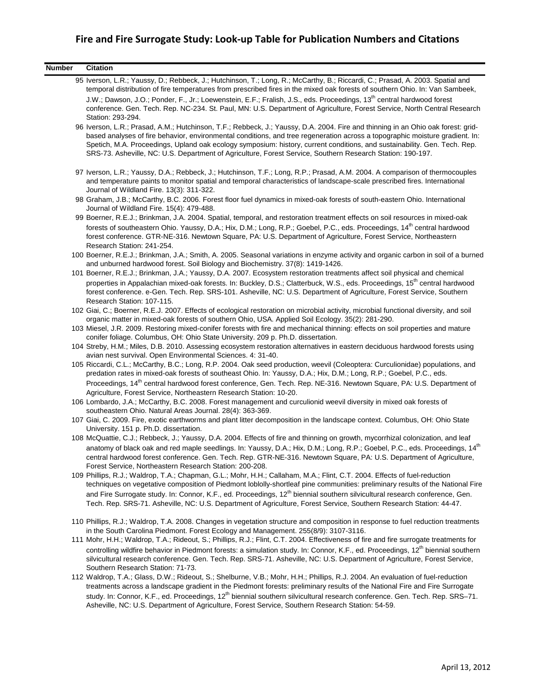| <b>Number</b> | <b>Citation</b>                                                                                                                                                                                                                                                                                                                                                                                                                                                                                              |
|---------------|--------------------------------------------------------------------------------------------------------------------------------------------------------------------------------------------------------------------------------------------------------------------------------------------------------------------------------------------------------------------------------------------------------------------------------------------------------------------------------------------------------------|
|               | 95 Iverson, L.R.; Yaussy, D.; Rebbeck, J.; Hutchinson, T.; Long, R.; McCarthy, B.; Riccardi, C.; Prasad, A. 2003. Spatial and<br>temporal distribution of fire temperatures from prescribed fires in the mixed oak forests of southern Ohio. In: Van Sambeek,                                                                                                                                                                                                                                                |
|               | J.W.; Dawson, J.O.; Ponder, F., Jr.; Loewenstein, E.F.; Fralish, J.S., eds. Proceedings, 13 <sup>th</sup> central hardwood forest<br>conference. Gen. Tech. Rep. NC-234. St. Paul, MN: U.S. Department of Agriculture, Forest Service, North Central Research<br>Station: 293-294.                                                                                                                                                                                                                           |
|               | 96 Iverson, L.R.; Prasad, A.M.; Hutchinson, T.F.; Rebbeck, J.; Yaussy, D.A. 2004. Fire and thinning in an Ohio oak forest: grid-                                                                                                                                                                                                                                                                                                                                                                             |
|               | based analyses of fire behavior, environmental conditions, and tree regeneration across a topographic moisture gradient. In:<br>Spetich, M.A. Proceedings, Upland oak ecology symposium: history, current conditions, and sustainability. Gen. Tech. Rep.<br>SRS-73. Asheville, NC: U.S. Department of Agriculture, Forest Service, Southern Research Station: 190-197.                                                                                                                                      |
|               | 97 Iverson, L.R.; Yaussy, D.A.; Rebbeck, J.; Hutchinson, T.F.; Long, R.P.; Prasad, A.M. 2004. A comparison of thermocouples<br>and temperature paints to monitor spatial and temporal characteristics of landscape-scale prescribed fires. International<br>Journal of Wildland Fire. 13(3): 311-322.                                                                                                                                                                                                        |
|               | 98 Graham, J.B.; McCarthy, B.C. 2006. Forest floor fuel dynamics in mixed-oak forests of south-eastern Ohio. International<br>Journal of Wildland Fire. 15(4): 479-488.                                                                                                                                                                                                                                                                                                                                      |
|               | 99 Boerner, R.E.J.; Brinkman, J.A. 2004. Spatial, temporal, and restoration treatment effects on soil resources in mixed-oak                                                                                                                                                                                                                                                                                                                                                                                 |
|               | forests of southeastern Ohio. Yaussy, D.A.; Hix, D.M.; Long, R.P.; Goebel, P.C., eds. Proceedings, 14 <sup>th</sup> central hardwood<br>forest conference. GTR-NE-316. Newtown Square, PA: U.S. Department of Agriculture, Forest Service, Northeastern<br>Research Station: 241-254.                                                                                                                                                                                                                        |
|               | 100 Boerner, R.E.J.; Brinkman, J.A.; Smith, A. 2005. Seasonal variations in enzyme activity and organic carbon in soil of a burned<br>and unburned hardwood forest. Soil Biology and Biochemistry. 37(8): 1419-1426.                                                                                                                                                                                                                                                                                         |
|               | 101 Boerner, R.E.J.; Brinkman, J.A.; Yaussy, D.A. 2007. Ecosystem restoration treatments affect soil physical and chemical                                                                                                                                                                                                                                                                                                                                                                                   |
|               | properties in Appalachian mixed-oak forests. In: Buckley, D.S.; Clatterbuck, W.S., eds. Proceedings, 15 <sup>th</sup> central hardwood<br>forest conference. e-Gen. Tech. Rep. SRS-101. Asheville, NC: U.S. Department of Agriculture, Forest Service, Southern<br>Research Station: 107-115.                                                                                                                                                                                                                |
|               | 102 Giai, C.; Boerner, R.E.J. 2007. Effects of ecological restoration on microbial activity, microbial functional diversity, and soil<br>organic matter in mixed-oak forests of southern Ohio, USA. Applied Soil Ecology. 35(2): 281-290.                                                                                                                                                                                                                                                                    |
|               | 103 Miesel, J.R. 2009. Restoring mixed-conifer forests with fire and mechanical thinning: effects on soil properties and mature<br>conifer foliage. Columbus, OH: Ohio State University. 209 p. Ph.D. dissertation.                                                                                                                                                                                                                                                                                          |
|               | 104 Streby, H.M.; Miles, D.B. 2010. Assessing ecosystem restoration alternatives in eastern deciduous hardwood forests using<br>avian nest survival. Open Environmental Sciences. 4: 31-40.                                                                                                                                                                                                                                                                                                                  |
|               | 105 Riccardi, C.L.; McCarthy, B.C.; Long, R.P. 2004. Oak seed production, weevil (Coleoptera: Curculionidae) populations, and<br>predation rates in mixed-oak forests of southeast Ohio. In: Yaussy, D.A.; Hix, D.M.; Long, R.P.; Goebel, P.C., eds.                                                                                                                                                                                                                                                         |
|               | Proceedings, 14 <sup>th</sup> central hardwood forest conference, Gen. Tech. Rep. NE-316. Newtown Square, PA: U.S. Department of                                                                                                                                                                                                                                                                                                                                                                             |
|               | Agriculture, Forest Service, Northeastern Research Station: 10-20.<br>106 Lombardo, J.A.; McCarthy, B.C. 2008. Forest management and curculionid weevil diversity in mixed oak forests of                                                                                                                                                                                                                                                                                                                    |
|               | southeastern Ohio. Natural Areas Journal. 28(4): 363-369.<br>107 Giai, C. 2009. Fire, exotic earthworms and plant litter decomposition in the landscape context. Columbus, OH: Ohio State                                                                                                                                                                                                                                                                                                                    |
|               | University. 151 p. Ph.D. dissertation.                                                                                                                                                                                                                                                                                                                                                                                                                                                                       |
|               | 108 McQuattie, C.J.; Rebbeck, J.; Yaussy, D.A. 2004. Effects of fire and thinning on growth, mycorrhizal colonization, and leaf                                                                                                                                                                                                                                                                                                                                                                              |
|               | anatomy of black oak and red maple seedlings. In: Yaussy, D.A.; Hix, D.M.; Long, R.P.; Goebel, P.C., eds. Proceedings, 14th<br>central hardwood forest conference. Gen. Tech. Rep. GTR-NE-316. Newtown Square, PA: U.S. Department of Agriculture,<br>Forest Service, Northeastern Research Station: 200-208.                                                                                                                                                                                                |
|               | 109 Phillips, R.J.; Waldrop, T.A.; Chapman, G.L.; Mohr, H.H.; Callaham, M.A.; Flint, C.T. 2004. Effects of fuel-reduction<br>techniques on vegetative composition of Piedmont loblolly-shortleaf pine communities: preliminary results of the National Fire                                                                                                                                                                                                                                                  |
|               | and Fire Surrogate study. In: Connor, K.F., ed. Proceedings, 12 <sup>th</sup> biennial southern silvicultural research conference, Gen.<br>Tech. Rep. SRS-71. Asheville, NC: U.S. Department of Agriculture, Forest Service, Southern Research Station: 44-47.                                                                                                                                                                                                                                               |
|               | 110 Phillips, R.J.; Waldrop, T.A. 2008. Changes in vegetation structure and composition in response to fuel reduction treatments<br>in the South Carolina Piedmont. Forest Ecology and Management. 255(8/9): 3107-3116.                                                                                                                                                                                                                                                                                      |
|               | 111 Mohr, H.H.; Waldrop, T.A.; Rideout, S.; Phillips, R.J.; Flint, C.T. 2004. Effectiveness of fire and fire surrogate treatments for<br>controlling wildfire behavior in Piedmont forests: a simulation study. In: Connor, K.F., ed. Proceedings, 12 <sup>th</sup> biennial southern<br>silvicultural research conference. Gen. Tech. Rep. SRS-71. Asheville, NC: U.S. Department of Agriculture, Forest Service,<br>Southern Research Station: 71-73.                                                      |
|               | 112 Waldrop, T.A.; Glass, D.W.; Rideout, S.; Shelburne, V.B.; Mohr, H.H.; Phillips, R.J. 2004. An evaluation of fuel-reduction<br>treatments across a landscape gradient in the Piedmont forests: preliminary results of the National Fire and Fire Surrogate<br>study. In: Connor, K.F., ed. Proceedings, 12 <sup>th</sup> biennial southern silvicultural research conference. Gen. Tech. Rep. SRS-71.<br>Asheville, NC: U.S. Department of Agriculture, Forest Service, Southern Research Station: 54-59. |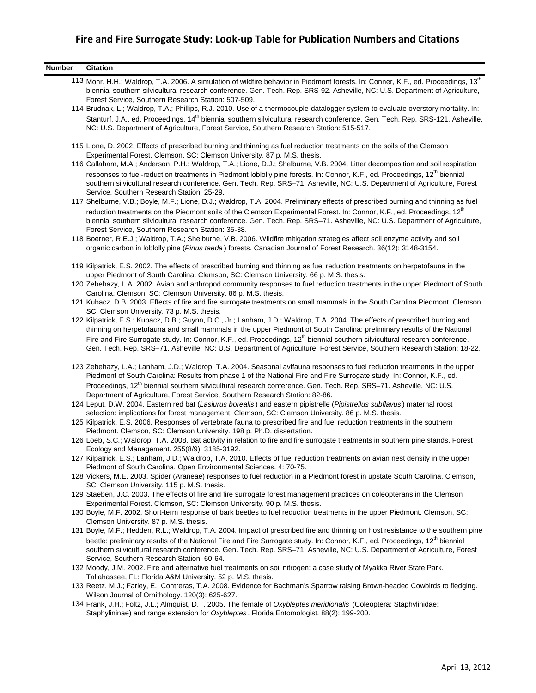| <b>Number</b> | <b>Citation</b>                                                                                                                                                                                                                                                                                                                                                                                                                                             |
|---------------|-------------------------------------------------------------------------------------------------------------------------------------------------------------------------------------------------------------------------------------------------------------------------------------------------------------------------------------------------------------------------------------------------------------------------------------------------------------|
|               | 113 Mohr, H.H.; Waldrop, T.A. 2006. A simulation of wildfire behavior in Piedmont forests. In: Conner, K.F., ed. Proceedings, 13 <sup>th</sup><br>biennial southern silvicultural research conference. Gen. Tech. Rep. SRS-92. Asheville, NC: U.S. Department of Agriculture,<br>Forest Service, Southern Research Station: 507-509.                                                                                                                        |
|               | 114 Brudnak, L.; Waldrop, T.A.; Phillips, R.J. 2010. Use of a thermocouple-datalogger system to evaluate overstory mortality. In:<br>Stanturf, J.A., ed. Proceedings, 14 <sup>th</sup> biennial southern silvicultural research conference. Gen. Tech. Rep. SRS-121. Asheville,<br>NC: U.S. Department of Agriculture, Forest Service, Southern Research Station: 515-517.                                                                                  |
|               | 115 Lione, D. 2002. Effects of prescribed burning and thinning as fuel reduction treatments on the soils of the Clemson<br>Experimental Forest. Clemson, SC: Clemson University. 87 p. M.S. thesis.                                                                                                                                                                                                                                                         |
|               | 116 Callaham, M.A.; Anderson, P.H.; Waldrop, T.A.; Lione, D.J.; Shelburne, V.B. 2004. Litter decomposition and soil respiration<br>responses to fuel-reduction treatments in Piedmont loblolly pine forests. In: Connor, K.F., ed. Proceedings, 12 <sup>th</sup> biennial<br>southern silvicultural research conference. Gen. Tech. Rep. SRS-71. Asheville, NC: U.S. Department of Agriculture, Forest<br>Service, Southern Research Station: 25-29.        |
|               | 117 Shelburne, V.B.; Boyle, M.F.; Lione, D.J.; Waldrop, T.A. 2004. Preliminary effects of prescribed burning and thinning as fuel<br>reduction treatments on the Piedmont soils of the Clemson Experimental Forest. In: Connor, K.F., ed. Proceedings, 12 <sup>th</sup><br>biennial southern silvicultural research conference. Gen. Tech. Rep. SRS-71. Asheville, NC: U.S. Department of Agriculture,<br>Forest Service, Southern Research Station: 35-38. |
|               | 118 Boerner, R.E.J.; Waldrop, T.A.; Shelburne, V.B. 2006. Wildfire mitigation strategies affect soil enzyme activity and soil<br>organic carbon in loblolly pine (Pinus taeda) forests. Canadian Journal of Forest Research. 36(12): 3148-3154.                                                                                                                                                                                                             |
|               | 119 Kilpatrick, E.S. 2002. The effects of prescribed burning and thinning as fuel reduction treatments on herpetofauna in the<br>upper Piedmont of South Carolina. Clemson, SC: Clemson University. 66 p. M.S. thesis.                                                                                                                                                                                                                                      |
|               | 120 Zebehazy, L.A. 2002. Avian and arthropod community responses to fuel reduction treatments in the upper Piedmont of South<br>Carolina. Clemson, SC: Clemson University. 86 p. M.S. thesis.                                                                                                                                                                                                                                                               |
|               | 121 Kubacz, D.B. 2003. Effects of fire and fire surrogate treatments on small mammals in the South Carolina Piedmont. Clemson,<br>SC: Clemson University. 73 p. M.S. thesis.                                                                                                                                                                                                                                                                                |
|               | 122 Kilpatrick, E.S.; Kubacz, D.B.; Guynn, D.C., Jr.; Lanham, J.D.; Waldrop, T.A. 2004. The effects of prescribed burning and<br>thinning on herpetofauna and small mammals in the upper Piedmont of South Carolina: preliminary results of the National                                                                                                                                                                                                    |
|               | Fire and Fire Surrogate study. In: Connor, K.F., ed. Proceedings, 12 <sup>th</sup> biennial southern silvicultural research conference.<br>Gen. Tech. Rep. SRS-71. Asheville, NC: U.S. Department of Agriculture, Forest Service, Southern Research Station: 18-22.                                                                                                                                                                                         |
|               | 123 Zebehazy, L.A.; Lanham, J.D.; Waldrop, T.A. 2004. Seasonal avifauna responses to fuel reduction treatments in the upper<br>Piedmont of South Carolina: Results from phase 1 of the National Fire and Fire Surrogate study. In: Connor, K.F., ed.<br>Proceedings, 12 <sup>th</sup> biennial southern silvicultural research conference. Gen. Tech. Rep. SRS-71. Asheville, NC: U.S.                                                                      |
|               | Department of Agriculture, Forest Service, Southern Research Station: 82-86.<br>124 Leput, D.W. 2004. Eastern red bat (Lasiurus borealis) and eastern pipistrelle (Pipistrellus subflavus) maternal roost<br>selection: implications for forest management. Clemson, SC: Clemson University. 86 p. M.S. thesis.                                                                                                                                             |
|               | 125 Kilpatrick, E.S. 2006. Responses of vertebrate fauna to prescribed fire and fuel reduction treatments in the southern<br>Piedmont. Clemson, SC: Clemson University. 198 p. Ph.D. dissertation.                                                                                                                                                                                                                                                          |
|               | 126 Loeb, S.C.; Waldrop, T.A. 2008. Bat activity in relation to fire and fire surrogate treatments in southern pine stands. Forest<br>Ecology and Management. 255(8/9): 3185-3192.                                                                                                                                                                                                                                                                          |
|               | 127 Kilpatrick, E.S.; Lanham, J.D.; Waldrop, T.A. 2010. Effects of fuel reduction treatments on avian nest density in the upper<br>Piedmont of South Carolina. Open Environmental Sciences. 4: 70-75.                                                                                                                                                                                                                                                       |
|               | 128 Vickers, M.E. 2003. Spider (Araneae) responses to fuel reduction in a Piedmont forest in upstate South Carolina. Clemson,<br>SC: Clemson University. 115 p. M.S. thesis.                                                                                                                                                                                                                                                                                |
|               | 129 Staeben, J.C. 2003. The effects of fire and fire surrogate forest management practices on coleopterans in the Clemson<br>Experimental Forest. Clemson, SC: Clemson University. 90 p. M.S. thesis.                                                                                                                                                                                                                                                       |
|               | 130 Boyle, M.F. 2002. Short-term response of bark beetles to fuel reduction treatments in the upper Piedmont. Clemson, SC:<br>Clemson University. 87 p. M.S. thesis.                                                                                                                                                                                                                                                                                        |
|               | 131 Boyle, M.F.; Hedden, R.L.; Waldrop, T.A. 2004. Impact of prescribed fire and thinning on host resistance to the southern pine<br>beetle: preliminary results of the National Fire and Fire Surrogate study. In: Connor, K.F., ed. Proceedings, 12 <sup>th</sup> biennial<br>southern silvicultural research conference. Gen. Tech. Rep. SRS-71. Asheville, NC: U.S. Department of Agriculture, Forest<br>Service, Southern Research Station: 60-64.     |
|               | 132 Moody, J.M. 2002. Fire and alternative fuel treatments on soil nitrogen: a case study of Myakka River State Park.<br>Tallahassee, FL: Florida A&M University. 52 p. M.S. thesis.                                                                                                                                                                                                                                                                        |
|               | 133 Reetz, M.J.; Farley, E.; Contreras, T.A. 2008. Evidence for Bachman's Sparrow raising Brown-headed Cowbirds to fledging.<br>Wilson Journal of Ornithology. 120(3): 625-627.                                                                                                                                                                                                                                                                             |
|               | 134 Frank, J.H.; Foltz, J.L.; Almquist, D.T. 2005. The female of Oxybleptes meridionalis (Coleoptera: Staphylinidae:<br>Staphylininae) and range extension for Oxybleptes. Florida Entomologist. 88(2): 199-200.                                                                                                                                                                                                                                            |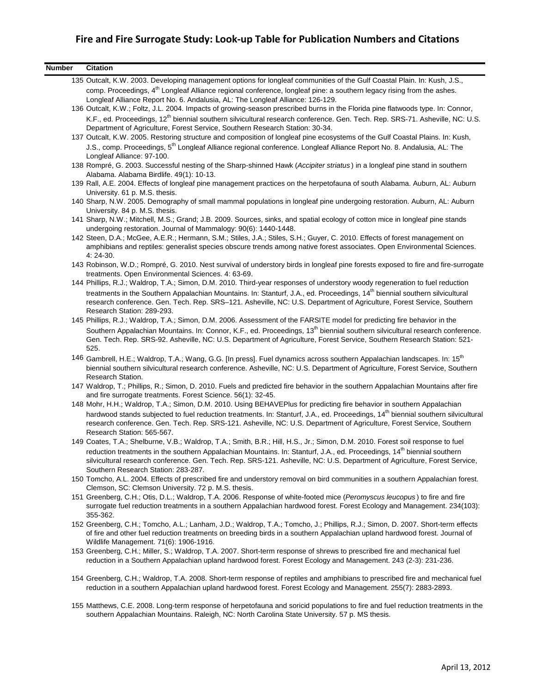| <b>Number</b> | <b>Citation</b>                                                                                                                                                                                                                                                                                          |
|---------------|----------------------------------------------------------------------------------------------------------------------------------------------------------------------------------------------------------------------------------------------------------------------------------------------------------|
|               | 135 Outcalt, K.W. 2003. Developing management options for longleaf communities of the Gulf Coastal Plain. In: Kush, J.S.,                                                                                                                                                                                |
|               | comp. Proceedings, 4 <sup>th</sup> Longleaf Alliance regional conference, longleaf pine: a southern legacy rising from the ashes.<br>Longleaf Alliance Report No. 6. Andalusia, AL: The Longleaf Alliance: 126-129.                                                                                      |
|               | 136 Outcalt, K.W.; Foltz, J.L. 2004. Impacts of growing-season prescribed burns in the Florida pine flatwoods type. In: Connor,                                                                                                                                                                          |
|               | K.F., ed. Proceedings, 12 <sup>th</sup> biennial southern silvicultural research conference. Gen. Tech. Rep. SRS-71. Asheville, NC: U.S.<br>Department of Agriculture, Forest Service, Southern Research Station: 30-34.                                                                                 |
|               | 137 Outcalt, K.W. 2005. Restoring structure and composition of longleaf pine ecosystems of the Gulf Coastal Plains. In: Kush,                                                                                                                                                                            |
|               | J.S., comp. Proceedings, 5 <sup>th</sup> Longleaf Alliance regional conference. Longleaf Alliance Report No. 8. Andalusia, AL: The<br>Longleaf Alliance: 97-100.                                                                                                                                         |
|               | 138 Rompré, G. 2003. Successful nesting of the Sharp-shinned Hawk (Accipiter striatus) in a longleaf pine stand in southern<br>Alabama. Alabama Birdlife. 49(1): 10-13.                                                                                                                                  |
|               | 139 Rall, A.E. 2004. Effects of longleaf pine management practices on the herpetofauna of south Alabama. Auburn, AL: Auburn<br>University. 61 p. M.S. thesis.                                                                                                                                            |
|               | 140 Sharp, N.W. 2005. Demography of small mammal populations in longleaf pine undergoing restoration. Auburn, AL: Auburn<br>University. 84 p. M.S. thesis.                                                                                                                                               |
|               | 141 Sharp, N.W.; Mitchell, M.S.; Grand; J.B. 2009. Sources, sinks, and spatial ecology of cotton mice in longleaf pine stands<br>undergoing restoration. Journal of Mammalogy: 90(6): 1440-1448.                                                                                                         |
|               | 142 Steen, D.A.; McGee, A.E.R.; Hermann, S.M.; Stiles, J.A.; Stiles, S.H.; Guyer, C. 2010. Effects of forest management on<br>amphibians and reptiles: generalist species obscure trends among native forest associates. Open Environmental Sciences.<br>4: 24-30.                                       |
|               | 143 Robinson, W.D.; Rompré, G. 2010. Nest survival of understory birds in longleaf pine forests exposed to fire and fire-surrogate<br>treatments. Open Environmental Sciences. 4: 63-69.                                                                                                                 |
|               | 144 Phillips, R.J.; Waldrop, T.A.; Simon, D.M. 2010. Third-year responses of understory woody regeneration to fuel reduction                                                                                                                                                                             |
|               | treatments in the Southern Appalachian Mountains. In: Stanturf, J.A., ed. Proceedings, 14 <sup>th</sup> biennial southern silvicultural<br>research conference. Gen. Tech. Rep. SRS-121. Asheville, NC: U.S. Department of Agriculture, Forest Service, Southern<br>Research Station: 289-293.           |
|               | 145 Phillips, R.J.; Waldrop, T.A.; Simon, D.M. 2006. Assessment of the FARSITE model for predicting fire behavior in the                                                                                                                                                                                 |
|               | Southern Appalachian Mountains. In: Connor, K.F., ed. Proceedings, 13 <sup>th</sup> biennial southern silvicultural research conference.<br>Gen. Tech. Rep. SRS-92. Asheville, NC: U.S. Department of Agriculture, Forest Service, Southern Research Station: 521-<br>525.                               |
|               | 146 Gambrell, H.E.; Waldrop, T.A.; Wang, G.G. [In press]. Fuel dynamics across southern Appalachian landscapes. In: 15 <sup>th</sup><br>biennial southern silvicultural research conference. Asheville, NC: U.S. Department of Agriculture, Forest Service, Southern<br>Research Station.                |
|               | 147 Waldrop, T.; Phillips, R.; Simon, D. 2010. Fuels and predicted fire behavior in the southern Appalachian Mountains after fire<br>and fire surrogate treatments. Forest Science. 56(1): 32-45.                                                                                                        |
|               | 148 Mohr, H.H.; Waldrop, T.A.; Simon, D.M. 2010. Using BEHAVEPlus for predicting fire behavior in southern Appalachian                                                                                                                                                                                   |
|               | hardwood stands subjected to fuel reduction treatments. In: Stanturf, J.A., ed. Proceedings, 14 <sup>th</sup> biennial southern silvicultural<br>research conference. Gen. Tech. Rep. SRS-121. Asheville, NC: U.S. Department of Agriculture, Forest Service, Southern<br>Research Station: 565-567.     |
|               | 149 Coates, T.A.; Shelburne, V.B.; Waldrop, T.A.; Smith, B.R.; Hill, H.S., Jr.; Simon, D.M. 2010. Forest soil response to fuel                                                                                                                                                                           |
|               | reduction treatments in the southern Appalachian Mountains. In: Stanturf, J.A., ed. Proceedings, 14 <sup>th</sup> biennial southern<br>silvicultural research conference. Gen. Tech. Rep. SRS-121. Asheville, NC: U.S. Department of Agriculture, Forest Service,<br>Southern Research Station: 283-287. |
|               | 150 Tomcho, A.L. 2004. Effects of prescribed fire and understory removal on bird communities in a southern Appalachian forest.<br>Clemson, SC: Clemson University. 72 p. M.S. thesis.                                                                                                                    |
|               | 151 Greenberg, C.H.; Otis, D.L.; Waldrop, T.A. 2006. Response of white-footed mice (Peromyscus leucopus) to fire and fire<br>surrogate fuel reduction treatments in a southern Appalachian hardwood forest. Forest Ecology and Management. 234(103):<br>355-362.                                         |
|               | 152 Greenberg, C.H.; Tomcho, A.L.; Lanham, J.D.; Waldrop, T.A.; Tomcho, J.; Phillips, R.J.; Simon, D. 2007. Short-term effects<br>of fire and other fuel reduction treatments on breeding birds in a southern Appalachian upland hardwood forest. Journal of<br>Wildlife Management. 71(6): 1906-1916.   |
|               | 153 Greenberg, C.H.; Miller, S.; Waldrop, T.A. 2007. Short-term response of shrews to prescribed fire and mechanical fuel<br>reduction in a Southern Appalachian upland hardwood forest. Forest Ecology and Management. 243 (2-3): 231-236.                                                              |
|               | 154 Greenberg, C.H.; Waldrop, T.A. 2008. Short-term response of reptiles and amphibians to prescribed fire and mechanical fuel<br>reduction in a southern Appalachian upland hardwood forest. Forest Ecology and Management. 255(7): 2883-2893.                                                          |
|               | 155 Matthews, C.E. 2008. Long-term response of herpetofauna and soricid populations to fire and fuel reduction treatments in the                                                                                                                                                                         |

southern Appalachian Mountains. Raleigh, NC: North Carolina State University. 57 p. MS thesis.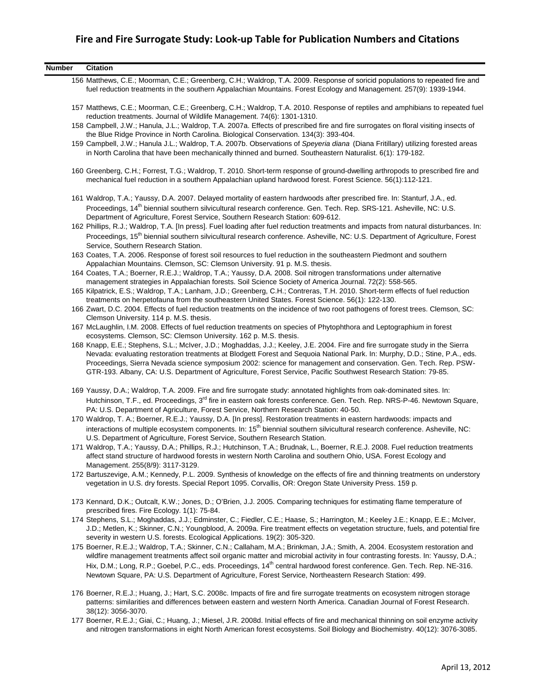| <b>Number</b> | <b>Citation</b>                                                                                                                                                                                                                                                                                                                                                                                        |
|---------------|--------------------------------------------------------------------------------------------------------------------------------------------------------------------------------------------------------------------------------------------------------------------------------------------------------------------------------------------------------------------------------------------------------|
|               | 156 Matthews, C.E.; Moorman, C.E.; Greenberg, C.H.; Waldrop, T.A. 2009. Response of soricid populations to repeated fire and<br>fuel reduction treatments in the southern Appalachian Mountains. Forest Ecology and Management. 257(9): 1939-1944.                                                                                                                                                     |
|               | 157 Matthews, C.E.; Moorman, C.E.; Greenberg, C.H.; Waldrop, T.A. 2010. Response of reptiles and amphibians to repeated fuel<br>reduction treatments. Journal of Wildlife Management. 74(6): 1301-1310.                                                                                                                                                                                                |
|               | 158 Campbell, J.W.; Hanula, J.L.; Waldrop, T.A. 2007a. Effects of prescribed fire and fire surrogates on floral visiting insects of<br>the Blue Ridge Province in North Carolina. Biological Conservation. 134(3): 393-404.                                                                                                                                                                            |
|               | 159 Campbell, J.W.; Hanula J.L.; Waldrop, T.A. 2007b. Observations of Speyeria diana (Diana Fritillary) utilizing forested areas<br>in North Carolina that have been mechanically thinned and burned. Southeastern Naturalist. 6(1): 179-182.                                                                                                                                                          |
|               | 160 Greenberg, C.H.; Forrest, T.G.; Waldrop, T. 2010. Short-term response of ground-dwelling arthropods to prescribed fire and<br>mechanical fuel reduction in a southern Appalachian upland hardwood forest. Forest Science. 56(1):112-121.                                                                                                                                                           |
|               | 161 Waldrop, T.A.; Yaussy, D.A. 2007. Delayed mortality of eastern hardwoods after prescribed fire. In: Stanturf, J.A., ed.<br>Proceedings, 14 <sup>th</sup> biennial southern silvicultural research conference. Gen. Tech. Rep. SRS-121. Asheville, NC: U.S.<br>Department of Agriculture, Forest Service, Southern Research Station: 609-612.                                                       |
|               | 162 Phillips, R.J.; Waldrop, T.A. [In press]. Fuel loading after fuel reduction treatments and impacts from natural disturbances. In:<br>Proceedings, 15 <sup>th</sup> biennial southern silvicultural research conference. Asheville, NC: U.S. Department of Agriculture, Forest                                                                                                                      |
|               | Service, Southern Research Station.<br>163 Coates, T.A. 2006. Response of forest soil resources to fuel reduction in the southeastern Piedmont and southern<br>Appalachian Mountains. Clemson, SC: Clemson University. 91 p. M.S. thesis.                                                                                                                                                              |
|               | 164 Coates, T.A.; Boerner, R.E.J.; Waldrop, T.A.; Yaussy, D.A. 2008. Soil nitrogen transformations under alternative<br>management strategies in Appalachian forests. Soil Science Society of America Journal. 72(2): 558-565.                                                                                                                                                                         |
|               | 165 Kilpatrick, E.S.; Waldrop, T.A.; Lanham, J.D.; Greenberg, C.H.; Contreras, T.H. 2010. Short-term effects of fuel reduction<br>treatments on herpetofauna from the southeastern United States. Forest Science. 56(1): 122-130.                                                                                                                                                                      |
|               | 166 Zwart, D.C. 2004. Effects of fuel reduction treatments on the incidence of two root pathogens of forest trees. Clemson, SC:<br>Clemson University. 114 p. M.S. thesis.<br>167 McLaughlin, I.M. 2008. Effects of fuel reduction treatments on species of Phytophthora and Leptographium in forest                                                                                                   |
|               | ecosystems. Clemson, SC: Clemson University. 162 p. M.S. thesis.<br>168 Knapp, E.E.; Stephens, S.L.; McIver, J.D.; Moghaddas, J.J.; Keeley, J.E. 2004. Fire and fire surrogate study in the Sierra                                                                                                                                                                                                     |
|               | Nevada: evaluating restoration treatments at Blodgett Forest and Sequoia National Park. In: Murphy, D.D.; Stine, P.A., eds.<br>Proceedings, Sierra Nevada science symposium 2002: science for management and conservation. Gen. Tech. Rep. PSW-<br>GTR-193. Albany, CA: U.S. Department of Agriculture, Forest Service, Pacific Southwest Research Station: 79-85.                                     |
|               | 169 Yaussy, D.A.; Waldrop, T.A. 2009. Fire and fire surrogate study: annotated highlights from oak-dominated sites. In:<br>Hutchinson, T.F., ed. Proceedings, 3 <sup>rd</sup> fire in eastern oak forests conference. Gen. Tech. Rep. NRS-P-46. Newtown Square,                                                                                                                                        |
|               | PA: U.S. Department of Agriculture, Forest Service, Northern Research Station: 40-50.<br>170 Waldrop, T. A.; Boerner, R.E.J.; Yaussy, D.A. [In press]. Restoration treatments in eastern hardwoods: impacts and<br>interactions of multiple ecosystem components. In: 15 <sup>th</sup> biennial southern silvicultural research conference. Asheville, NC:                                             |
|               | U.S. Department of Agriculture, Forest Service, Southern Research Station.<br>171 Waldrop, T.A.; Yaussy, D.A.; Phillips, R.J.; Hutchinson, T.A.; Brudnak, L., Boerner, R.E.J. 2008. Fuel reduction treatments                                                                                                                                                                                          |
|               | affect stand structure of hardwood forests in western North Carolina and southern Ohio, USA. Forest Ecology and<br>Management. 255(8/9): 3117-3129.                                                                                                                                                                                                                                                    |
|               | 172 Bartuszevige, A.M.; Kennedy, P.L. 2009. Synthesis of knowledge on the effects of fire and thinning treatments on understory<br>vegetation in U.S. dry forests. Special Report 1095. Corvallis, OR: Oregon State University Press. 159 p.                                                                                                                                                           |
|               | 173 Kennard, D.K.; Outcalt, K.W.; Jones, D.; O'Brien, J.J. 2005. Comparing techniques for estimating flame temperature of<br>prescribed fires. Fire Ecology. 1(1): 75-84.                                                                                                                                                                                                                              |
|               | 174 Stephens, S.L.; Moghaddas, J.J.; Edminster, C.; Fiedler, C.E.; Haase, S.; Harrington, M.; Keeley J.E.; Knapp, E.E.; McIver,<br>J.D.; Metlen, K.; Skinner, C.N.; Youngblood, A. 2009a. Fire treatment effects on vegetation structure, fuels, and potential fire<br>severity in western U.S. forests. Ecological Applications. 19(2): 305-320.                                                      |
|               | 175 Boerner, R.E.J.; Waldrop, T.A.; Skinner, C.N.; Callaham, M.A.; Brinkman, J.A.; Smith, A. 2004. Ecosystem restoration and<br>wildfire management treatments affect soil organic matter and microbial activity in four contrasting forests. In: Yaussy, D.A.;<br>Hix, D.M.; Long, R.P.; Goebel, P.C., eds. Proceedings, 14 <sup>th</sup> central hardwood forest conference. Gen. Tech. Rep. NE-316. |
|               | Newtown Square, PA: U.S. Department of Agriculture, Forest Service, Northeastern Research Station: 499.                                                                                                                                                                                                                                                                                                |
|               | 176 Boerner, R.E.J.; Huang, J.; Hart, S.C. 2008c. Impacts of fire and fire surrogate treatments on ecosystem nitrogen storage<br>patterns: similarities and differences between eastern and western North America. Canadian Journal of Forest Research.<br>38(12): 3056-3070.                                                                                                                          |
|               | 177 Boerner, R.E.J.; Giai, C.; Huang, J.; Miesel, J.R. 2008d. Initial effects of fire and mechanical thinning on soil enzyme activity<br>and nitrogen transformations in eight North American forest ecosystems. Soil Biology and Biochemistry. 40(12): 3076-3085.                                                                                                                                     |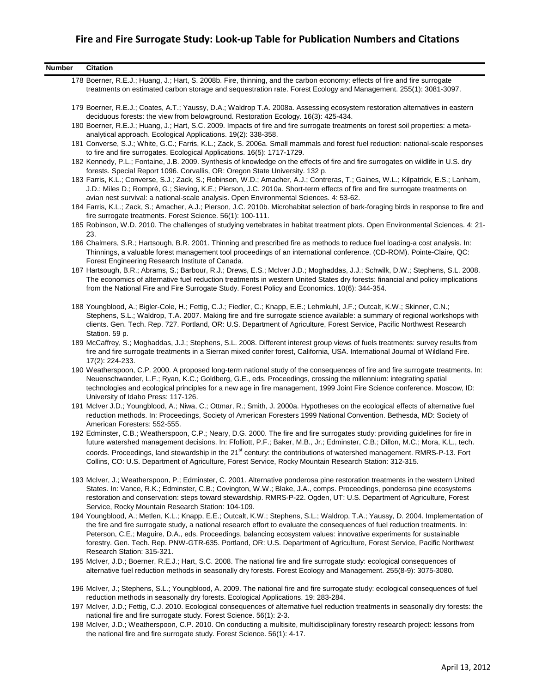| <b>Number</b> | <b>Citation</b>                                                                                                                                                                                                                                                                                                                                                                                                                                                                                                                                |
|---------------|------------------------------------------------------------------------------------------------------------------------------------------------------------------------------------------------------------------------------------------------------------------------------------------------------------------------------------------------------------------------------------------------------------------------------------------------------------------------------------------------------------------------------------------------|
|               | 178 Boerner, R.E.J.; Huang, J.; Hart, S. 2008b. Fire, thinning, and the carbon economy: effects of fire and fire surrogate<br>treatments on estimated carbon storage and sequestration rate. Forest Ecology and Management. 255(1): 3081-3097.                                                                                                                                                                                                                                                                                                 |
|               | 179 Boerner, R.E.J.; Coates, A.T.; Yaussy, D.A.; Waldrop T.A. 2008a. Assessing ecosystem restoration alternatives in eastern<br>deciduous forests: the view from belowground. Restoration Ecology. 16(3): 425-434.                                                                                                                                                                                                                                                                                                                             |
|               | 180 Boerner, R.E.J.; Huang, J.; Hart, S.C. 2009. Impacts of fire and fire surrogate treatments on forest soil properties: a meta-<br>analytical approach. Ecological Applications. 19(2): 338-358.                                                                                                                                                                                                                                                                                                                                             |
|               | 181 Converse, S.J.; White, G.C.; Farris, K.L.; Zack, S. 2006a. Small mammals and forest fuel reduction: national-scale responses<br>to fire and fire surrogates. Ecological Applications. 16(5): 1717-1729.                                                                                                                                                                                                                                                                                                                                    |
|               | 182 Kennedy, P.L.; Fontaine, J.B. 2009. Synthesis of knowledge on the effects of fire and fire surrogates on wildlife in U.S. dry<br>forests. Special Report 1096. Corvallis, OR: Oregon State University. 132 p.                                                                                                                                                                                                                                                                                                                              |
|               | 183 Farris, K.L.; Converse, S.J.; Zack, S.; Robinson, W.D.; Amacher, A.J.; Contreras, T.; Gaines, W.L.; Kilpatrick, E.S.; Lanham,<br>J.D.; Miles D.; Rompré, G.; Sieving, K.E.; Pierson, J.C. 2010a. Short-term effects of fire and fire surrogate treatments on<br>avian nest survival: a national-scale analysis. Open Environmental Sciences. 4: 53-62.                                                                                                                                                                                     |
|               | 184 Farris, K.L.; Zack, S.; Amacher, A.J.; Pierson, J.C. 2010b. Microhabitat selection of bark-foraging birds in response to fire and<br>fire surrogate treatments. Forest Science. 56(1): 100-111.                                                                                                                                                                                                                                                                                                                                            |
|               | 185 Robinson, W.D. 2010. The challenges of studying vertebrates in habitat treatment plots. Open Environmental Sciences. 4: 21-<br>23.                                                                                                                                                                                                                                                                                                                                                                                                         |
|               | 186 Chalmers, S.R.; Hartsough, B.R. 2001. Thinning and prescribed fire as methods to reduce fuel loading-a cost analysis. In:<br>Thinnings, a valuable forest management tool proceedings of an international conference. (CD-ROM). Pointe-Claire, QC:<br>Forest Engineering Research Institute of Canada.                                                                                                                                                                                                                                     |
|               | 187 Hartsough, B.R.; Abrams, S.; Barbour, R.J.; Drews, E.S.; McIver J.D.; Moghaddas, J.J.; Schwilk, D.W.; Stephens, S.L. 2008.<br>The economics of alternative fuel reduction treatments in western United States dry forests: financial and policy implications<br>from the National Fire and Fire Surrogate Study. Forest Policy and Economics. 10(6): 344-354.                                                                                                                                                                              |
|               | 188 Youngblood, A.; Bigler-Cole, H.; Fettig, C.J.; Fiedler, C.; Knapp, E.E.; Lehmkuhl, J.F.; Outcalt, K.W.; Skinner, C.N.;<br>Stephens, S.L.; Waldrop, T.A. 2007. Making fire and fire surrogate science available: a summary of regional workshops with<br>clients. Gen. Tech. Rep. 727. Portland, OR: U.S. Department of Agriculture, Forest Service, Pacific Northwest Research<br>Station. 59 p.                                                                                                                                           |
|               | 189 McCaffrey, S.; Moghaddas, J.J.; Stephens, S.L. 2008. Different interest group views of fuels treatments: survey results from<br>fire and fire surrogate treatments in a Sierran mixed conifer forest, California, USA. International Journal of Wildland Fire.<br>17(2): 224-233.                                                                                                                                                                                                                                                          |
|               | 190 Weatherspoon, C.P. 2000. A proposed long-term national study of the consequences of fire and fire surrogate treatments. In:<br>Neuenschwander, L.F.; Ryan, K.C.; Goldberg, G.E., eds. Proceedings, crossing the millennium: integrating spatial<br>technologies and ecological principles for a new age in fire management, 1999 Joint Fire Science conference. Moscow, ID:<br>University of Idaho Press: 117-126.                                                                                                                         |
|               | 191 McIver J.D.; Youngblood, A.; Niwa, C.; Ottmar, R.; Smith, J. 2000a. Hypotheses on the ecological effects of alternative fuel<br>reduction methods. In: Proceedings, Society of American Foresters 1999 National Convention. Bethesda, MD: Society of<br>American Foresters: 552-555.                                                                                                                                                                                                                                                       |
|               | 192 Edminster, C.B.; Weatherspoon, C.P.; Neary, D.G. 2000. The fire and fire surrogates study: providing guidelines for fire in<br>future watershed management decisions. In: Ffolliott, P.F.; Baker, M.B., Jr.; Edminster, C.B.; Dillon, M.C.; Mora, K.L., tech.                                                                                                                                                                                                                                                                              |
|               | coords. Proceedings, land stewardship in the 21 <sup>st</sup> century: the contributions of watershed management. RMRS-P-13. Fort<br>Collins, CO: U.S. Department of Agriculture, Forest Service, Rocky Mountain Research Station: 312-315.                                                                                                                                                                                                                                                                                                    |
|               | 193 McIver, J.; Weatherspoon, P.; Edminster, C. 2001. Alternative ponderosa pine restoration treatments in the western United<br>States. In: Vance, R.K.; Edminster, C.B.; Covington, W.W.; Blake, J.A., comps. Proceedings, ponderosa pine ecosystems<br>restoration and conservation: steps toward stewardship. RMRS-P-22. Ogden, UT: U.S. Department of Agriculture, Forest<br>Service, Rocky Mountain Research Station: 104-109.                                                                                                           |
|               | 194 Youngblood, A.; Metlen, K.L.; Knapp, E.E.; Outcalt, K.W.; Stephens, S.L.; Waldrop, T.A.; Yaussy, D. 2004. Implementation of<br>the fire and fire surrogate study, a national research effort to evaluate the consequences of fuel reduction treatments. In:<br>Peterson, C.E.; Maguire, D.A., eds. Proceedings, balancing ecosystem values: innovative experiments for sustainable<br>forestry. Gen. Tech. Rep. PNW-GTR-635. Portland, OR: U.S. Department of Agriculture, Forest Service, Pacific Northwest<br>Research Station: 315-321. |
|               | 195 McIver, J.D.; Boerner, R.E.J.; Hart, S.C. 2008. The national fire and fire surrogate study: ecological consequences of<br>alternative fuel reduction methods in seasonally dry forests. Forest Ecology and Management. 255(8-9): 3075-3080.                                                                                                                                                                                                                                                                                                |
|               | 196 McIver, J.; Stephens, S.L.; Youngblood, A. 2009. The national fire and fire surrogate study: ecological consequences of fuel<br>reduction methods in seasonally dry forests. Ecological Applications. 19: 283-284.                                                                                                                                                                                                                                                                                                                         |
|               | 197 McIver, J.D.; Fettig, C.J. 2010. Ecological consequences of alternative fuel reduction treatments in seasonally dry forests: the<br>national fire and fire surrogate study. Forest Science. 56(1): 2-3.                                                                                                                                                                                                                                                                                                                                    |

198 McIver, J.D.; Weatherspoon, C.P. 2010. On conducting a multisite, multidisciplinary forestry research project: lessons from the national fire and fire surrogate study. Forest Science. 56(1): 4-17.